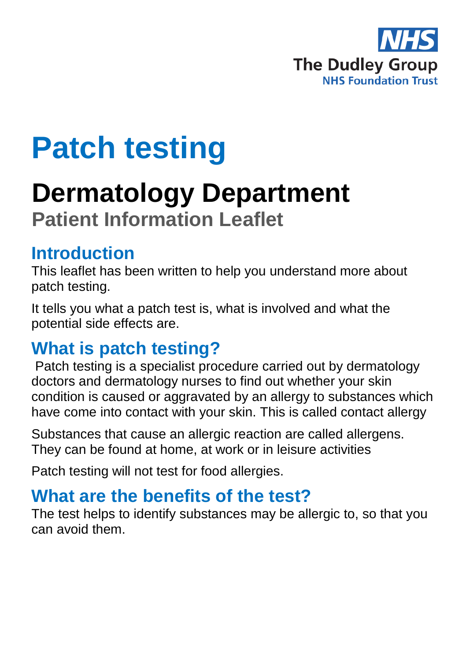

# **Patch testing**

## **Dermatology Department Patient Information Leaflet**

#### **Introduction**

This leaflet has been written to help you understand more about patch testing.

It tells you what a patch test is, what is involved and what the potential side effects are.

#### **What is patch testing?**

Patch testing is a specialist procedure carried out by dermatology doctors and dermatology nurses to find out whether your skin condition is caused or aggravated by an allergy to substances which have come into contact with your skin. This is called contact allergy

Substances that cause an allergic reaction are called allergens. They can be found at home, at work or in leisure activities

Patch testing will not test for food allergies.

#### **What are the benefits of the test?**

The test helps to identify substances may be allergic to, so that you can avoid them.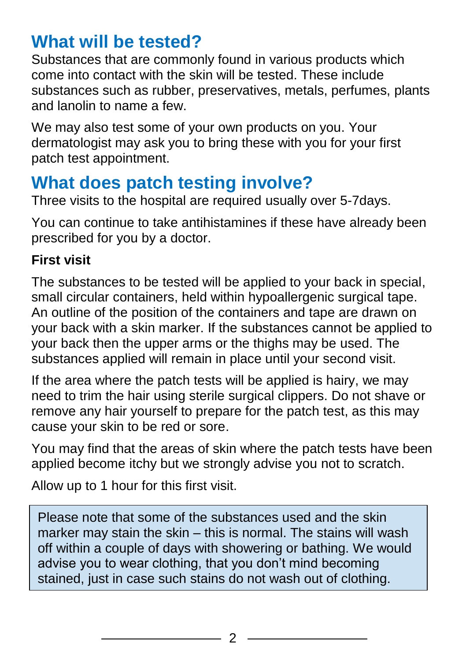#### **What will be tested?**

Substances that are commonly found in various products which come into contact with the skin will be tested. These include substances such as rubber, preservatives, metals, perfumes, plants and lanolin to name a few.

We may also test some of your own products on you. Your dermatologist may ask you to bring these with you for your first patch test appointment.

### **What does patch testing involve?**

Three visits to the hospital are required usually over 5-7days.

You can continue to take antihistamines if these have already been prescribed for you by a doctor.

#### **First visit**

The substances to be tested will be applied to your back in special, small circular containers, held within hypoallergenic surgical tape. An outline of the position of the containers and tape are drawn on your back with a skin marker. If the substances cannot be applied to your back then the upper arms or the thighs may be used. The substances applied will remain in place until your second visit.

If the area where the patch tests will be applied is hairy, we may need to trim the hair using sterile surgical clippers. Do not shave or remove any hair yourself to prepare for the patch test, as this may cause your skin to be red or sore.

You may find that the areas of skin where the patch tests have been applied become itchy but we strongly advise you not to scratch.

Allow up to 1 hour for this first visit.

Please note that some of the substances used and the skin marker may stain the skin – this is normal. The stains will wash off within a couple of days with showering or bathing. We would advise you to wear clothing, that you don't mind becoming stained, just in case such stains do not wash out of clothing.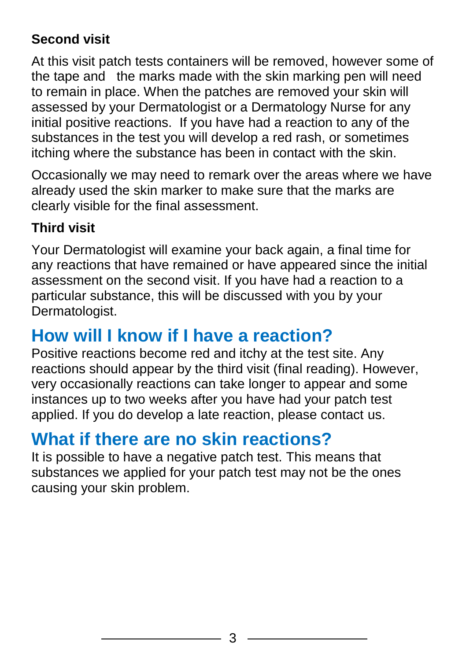#### **Second visit**

At this visit patch tests containers will be removed, however some of the tape and the marks made with the skin marking pen will need to remain in place. When the patches are removed your skin will assessed by your Dermatologist or a Dermatology Nurse for any initial positive reactions. If you have had a reaction to any of the substances in the test you will develop a red rash, or sometimes itching where the substance has been in contact with the skin.

Occasionally we may need to remark over the areas where we have already used the skin marker to make sure that the marks are clearly visible for the final assessment.

#### **Third visit**

Your Dermatologist will examine your back again, a final time for any reactions that have remained or have appeared since the initial assessment on the second visit. If you have had a reaction to a particular substance, this will be discussed with you by your Dermatologist.

## **How will I know if I have a reaction?**

Positive reactions become red and itchy at the test site. Any reactions should appear by the third visit (final reading). However, very occasionally reactions can take longer to appear and some instances up to two weeks after you have had your patch test applied. If you do develop a late reaction, please contact us.

## **What if there are no skin reactions?**

It is possible to have a negative patch test. This means that substances we applied for your patch test may not be the ones causing your skin problem.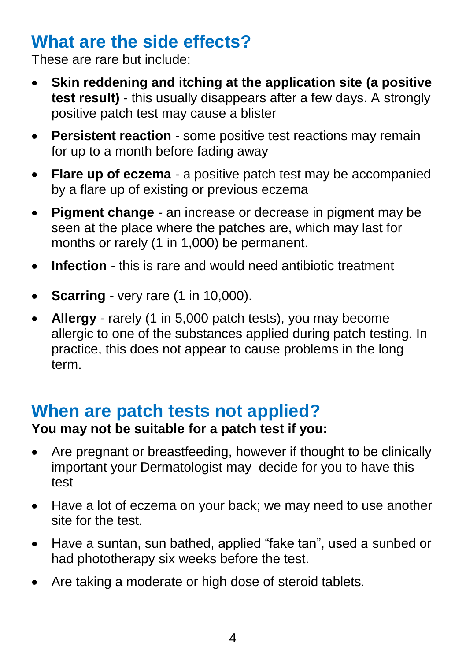## **What are the side effects?**

These are rare but include:

- **Skin reddening and itching at the application site (a positive test result)** - this usually disappears after a few days. A strongly positive patch test may cause a blister
- **Persistent reaction** *-* some positive test reactions may remain for up to a month before fading away
- **Flare up of eczema** *-* a positive patch test may be accompanied by a flare up of existing or previous eczema
- **Pigment change** *-* an increase or decrease in pigment may be seen at the place where the patches are, which may last for months or rarely (1 in 1,000) be permanent.
- **Infection** *-* this is rare and would need antibiotic treatment
- **Scarring** *-* very rare (1 in 10,000).
- **Allergy** *-* rarely (1 in 5,000 patch tests), you may become allergic to one of the substances applied during patch testing. In practice, this does not appear to cause problems in the long term.

#### **When are patch tests not applied?**

#### **You may not be suitable for a patch test if you:**

- Are pregnant or breastfeeding, however if thought to be clinically important your Dermatologist may decide for you to have this test
- Have a lot of eczema on your back; we may need to use another site for the test.
- Have a suntan, sun bathed, applied "fake tan", used a sunbed or had phototherapy six weeks before the test.
- Are taking a moderate or high dose of steroid tablets.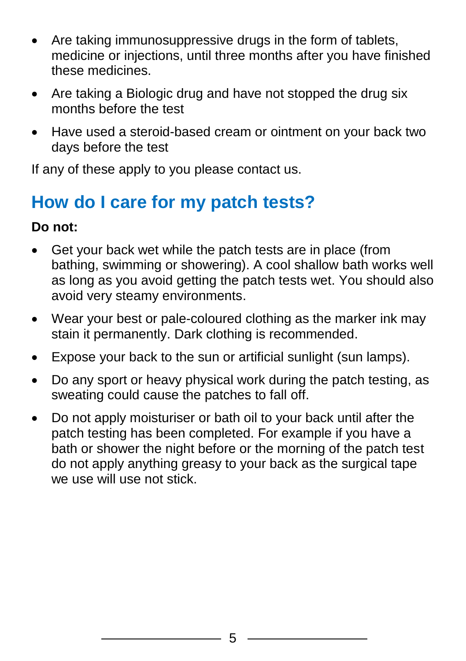- Are taking immunosuppressive drugs in the form of tablets, medicine or injections, until three months after you have finished these medicines.
- Are taking a Biologic drug and have not stopped the drug six months before the test
- Have used a steroid-based cream or ointment on your back two days before the test

If any of these apply to you please contact us.

## **How do I care for my patch tests?**

#### **Do not:**

- Get your back wet while the patch tests are in place (from bathing, swimming or showering). A cool shallow bath works well as long as you avoid getting the patch tests wet. You should also avoid very steamy environments.
- Wear your best or pale-coloured clothing as the marker ink may stain it permanently. Dark clothing is recommended.
- Expose your back to the sun or artificial sunlight (sun lamps).
- Do any sport or heavy physical work during the patch testing, as sweating could cause the patches to fall off.
- Do not apply moisturiser or bath oil to your back until after the patch testing has been completed. For example if you have a bath or shower the night before or the morning of the patch test do not apply anything greasy to your back as the surgical tape we use will use not stick.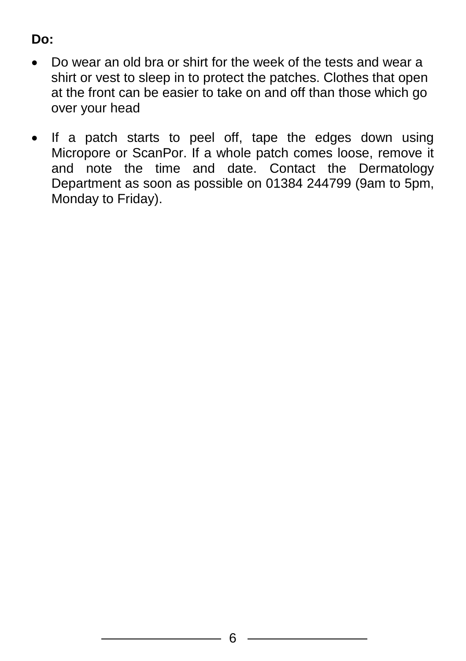#### **Do:**

- Do wear an old bra or shirt for the week of the tests and wear a shirt or vest to sleep in to protect the patches. Clothes that open at the front can be easier to take on and off than those which go over your head
- If a patch starts to peel off, tape the edges down using Micropore or ScanPor. If a whole patch comes loose, remove it and note the time and date. Contact the Dermatology Department as soon as possible on 01384 244799 (9am to 5pm, Monday to Friday).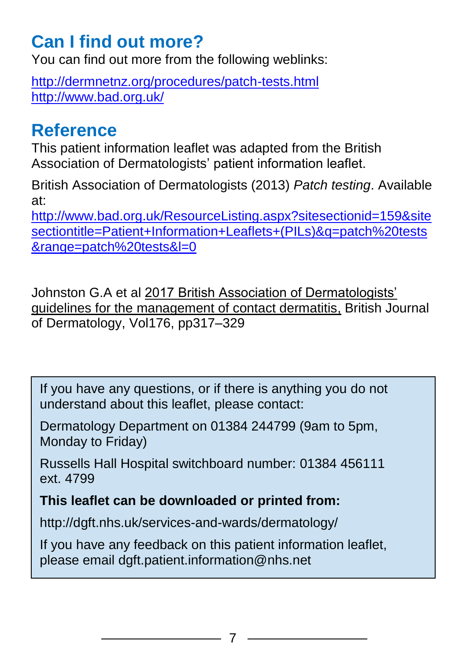## **Can I find out more?**

You can find out more from the following weblinks:

<http://dermnetnz.org/procedures/patch-tests.html> <http://www.bad.org.uk/>

#### **Reference**

This patient information leaflet was adapted from the British Association of Dermatologists' patient information leaflet.

British Association of Dermatologists (2013) *Patch testing*. Available at:

[http://www.bad.org.uk/ResourceListing.aspx?sitesectionid=159&site](http://www.bad.org.uk/ResourceListing.aspx?sitesectionid=159&sitesectiontitle=Patient+Information+Leaflets+(PILs)&q=patch%20tests&range=patch%20tests&l=0) [sectiontitle=Patient+Information+Leaflets+\(PILs\)&q=patch%20tests](http://www.bad.org.uk/ResourceListing.aspx?sitesectionid=159&sitesectiontitle=Patient+Information+Leaflets+(PILs)&q=patch%20tests&range=patch%20tests&l=0) [&range=patch%20tests&l=0](http://www.bad.org.uk/ResourceListing.aspx?sitesectionid=159&sitesectiontitle=Patient+Information+Leaflets+(PILs)&q=patch%20tests&range=patch%20tests&l=0)

Johnston G.A et al 2017 British Association of Dermatologists' guidelines for the management of contact dermatitis, British Journal of Dermatology, Vol176, pp317–329

If you have any questions, or if there is anything you do not understand about this leaflet, please contact:

Dermatology Department on 01384 244799 (9am to 5pm, Monday to Friday)

Russells Hall Hospital switchboard number: 01384 456111 ext. 4799

**This leaflet can be downloaded or printed from:**

http://dgft.nhs.uk/services-and-wards/dermatology/

If you have any feedback on this patient information leaflet, please email dgft.patient.information@nhs.net